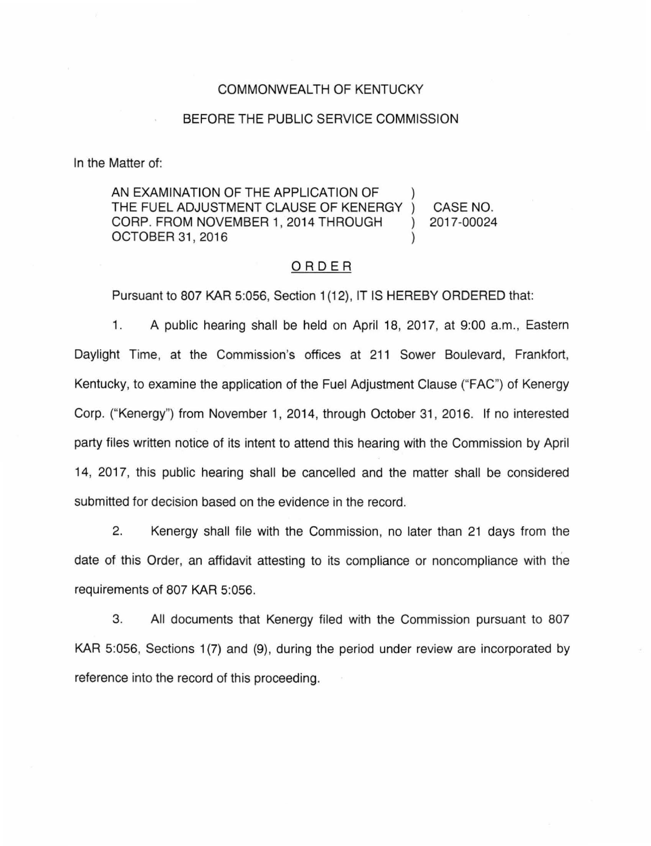## COMMONWEALTH OF KENTUCKY

#### BEFORE THE PUBLIC SERVICE COMMISSION

In the Matter of:

AN EXAMINATION OF THE APPLICATION OF THE FUEL ADJUSTMENT CLAUSE OF KENERGY CORP. FROM NOVEMBER 1, 2014 THROUGH OCTOBER 31, 2016 CASE NO. 2017-00024

## ORDER

Pursuant to 807 KAR 5:056, Section 1(12), IT IS HEREBY ORDERED that:

1. A public hearing shall be held on April 18, 2017, at 9:00 a.m. , Eastern Daylight Time, at the Commission's offices at 211 Sower Boulevard, Frankfort, Kentucky, to examine the application of the Fuel Adjustment Clause ("FAC") of Kenergy Corp. ("Kenergy") from November 1, 2014, through October 31 , 2016. If no interested party files written notice of its intent to attend this hearing with the Commission by April 14, 2017, this public hearing shall be cancelled and the matter shall be considered submitted for decision based on the evidence in the record.

2. Kenergy shall file with the Commission, no later than 21 days from the date of this Order, an affidavit attesting to its compliance or noncompliance with the requirements of 807 KAR 5:056.

3. All documents that Kenergy filed with the Commission pursuant to 807 KAR 5:056, Sections 1 (7) and (9), during the period under review are incorporated by reference into the record of this proceeding.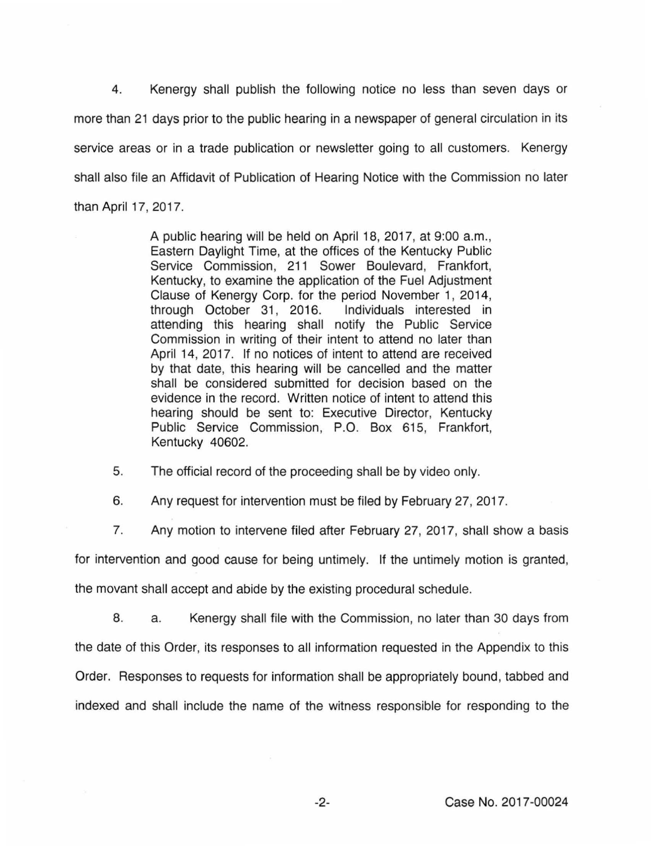4. Kenergy shall publish the following notice no less than seven days or more than 21 days prior to the public hearing in a newspaper of general circulation in its service areas or in a trade publication or newsletter going to all customers. Kenergy shall also file an Affidavit of Publication of Hearing Notice with the Commission no later than April 17, 2017.

> A public hearing will be held on April 18, 2017, at 9:00 a.m., Eastern Daylight Time, at the offices of the Kentucky Public Service Commission, 211 Sower Boulevard, Frankfort, Kentucky, to examine the application of the Fuel Adjustment Clause of Kenergy Corp. for the period November 1, 2014, through October 31, 2016. Individuals interested in attending this hearing shall notify the Public Service Commission in writing of their intent to attend no later than April 14, 2017. If no notices of intent to attend are received by that date, this hearing will be cancelled and the matter shall be considered submitted for decision based on the evidence in the record. Written notice of intent to attend this hearing should be sent to: Executive Director, Kentucky Public Service Commission, P.O. Box 615, Frankfort, Kentucky 40602.

5. The official record of the proceeding shall be by video only.

6. Any request for intervention must be filed by February 27, 2017.

7. Any motion to intervene filed after February 27, 2017, shall show a basis

for intervention and good cause for being untimely. If the untimely motion is granted,

the movant shall accept and abide by the existing procedural schedule.

8. a. Kenergy shall file with the Commission, no later than 30 days from the date of this Order, its responses to all information requested in the Appendix to this Order. Responses to requests for information shall be appropriately bound, tabbed and indexed and shall include the name of the witness responsible for responding to the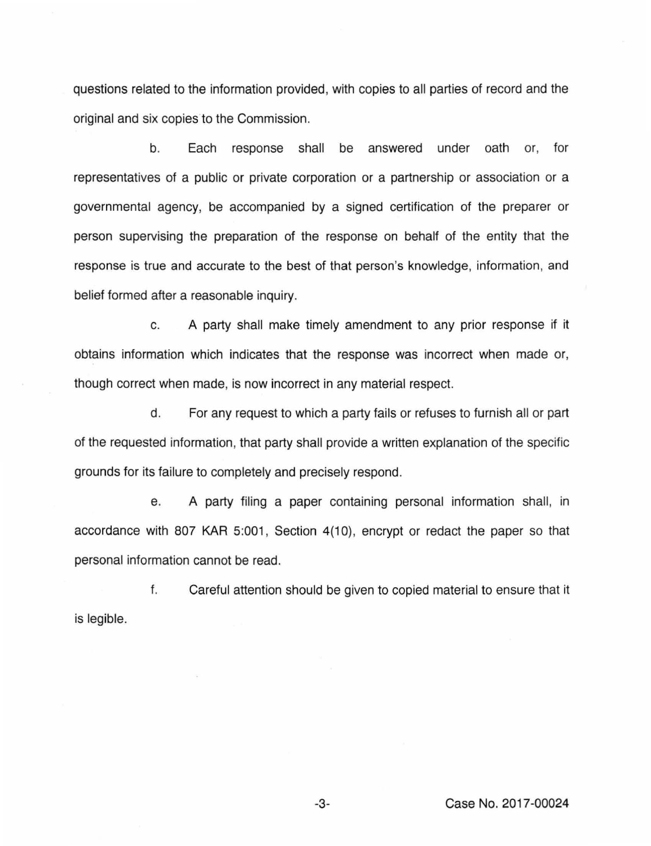questions related to the information provided, with copies to all parties of record and the original and six copies to the Commission.

b. Each response shall be answered under oath or. for representatives of a public or private corporation or a partnership or association or a governmental agency, be accompanied by a signed certification of the preparer or person supervising the preparation of the response on behalf of the entity that the response is true and accurate to the best of that person's knowledge, information, and belief formed after a reasonable inquiry.

c. A party shall make timely amendment to any prior response if it obtains information which indicates that the response was incorrect when made or, though correct when made, is now incorrect in any material respect.

d. For any request to which a party fails or refuses to furnish all or part of the requested information, that party shall provide a written explanation of the specific grounds for its failure to completely and precisely respond.

e. A party filing a paper containing personal information shall, in accordance with 807 KAR 5:001, Section 4(10), encrypt or redact the paper so that personal information cannot be read.

f. Careful attention should be given to copied material to ensure that it is legible.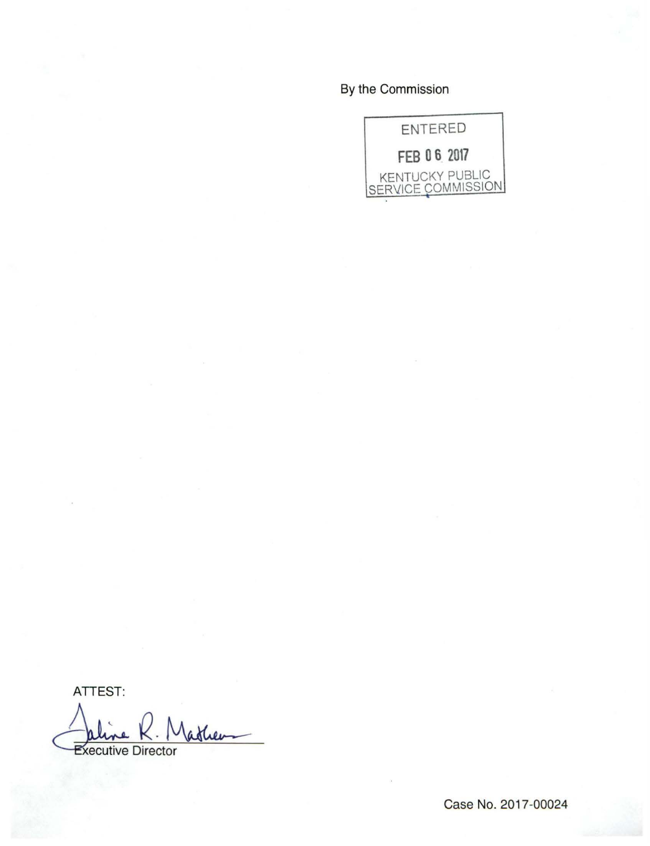By the Commission



ATTEST:

Bline K. Matheus

Case No. 2017-00024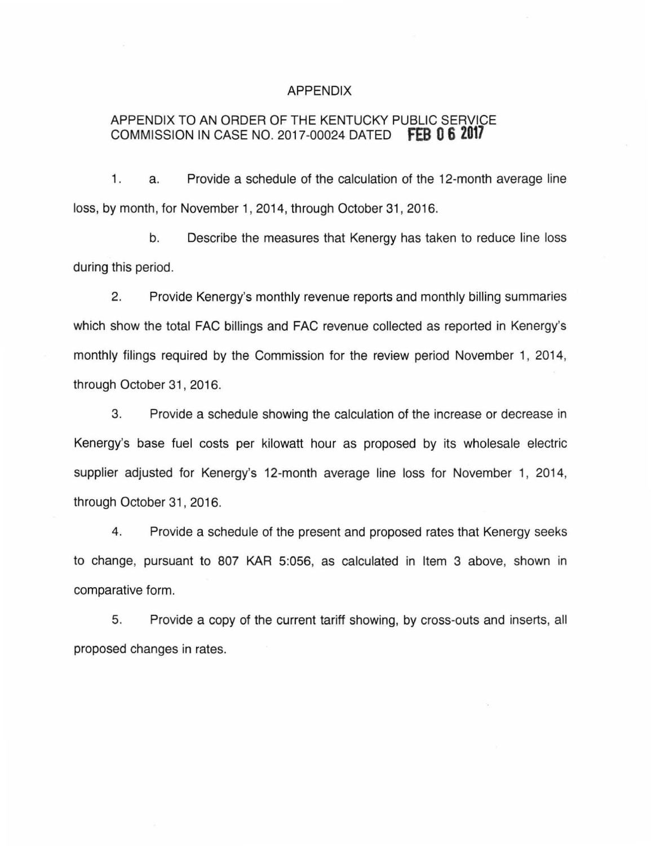#### APPENDIX

# APPENDIX TO AN ORDER OF THE KENTUCKY PUBLIC SERVICE COMMISSION IN CASE NO. 2017-00024 DATED **fEB 0 6 2017**

1. a. Provide a schedule of the calculation of the 12-month average line loss, by month, for November 1, 2014, through October 31, 2016.

b. Describe the measures that Kenergy has taken to reduce line loss during this period.

2. Provide Kenergy's monthly revenue reports and monthly billing summaries which show the total FAC billings and FAC revenue collected as reported in Kenergy's monthly filings required by the Commission for the review period November 1, 2014, through October 31, 2016.

3. Provide a schedule showing the calculation of the increase or decrease in Kenergy's base fuel costs per kilowatt hour as proposed by its wholesale electric supplier adjusted for Kenergy's 12-month average line loss for November 1, 2014, through October 31, 2016.

4. Provide a schedule of the present and proposed rates that Kenergy seeks to change, pursuant to 807 KAR 5:056, as calculated in Item 3 above, shown in comparative form.

5. Provide a copy of the current tariff showing, by cross-outs and inserts, all proposed changes in rates.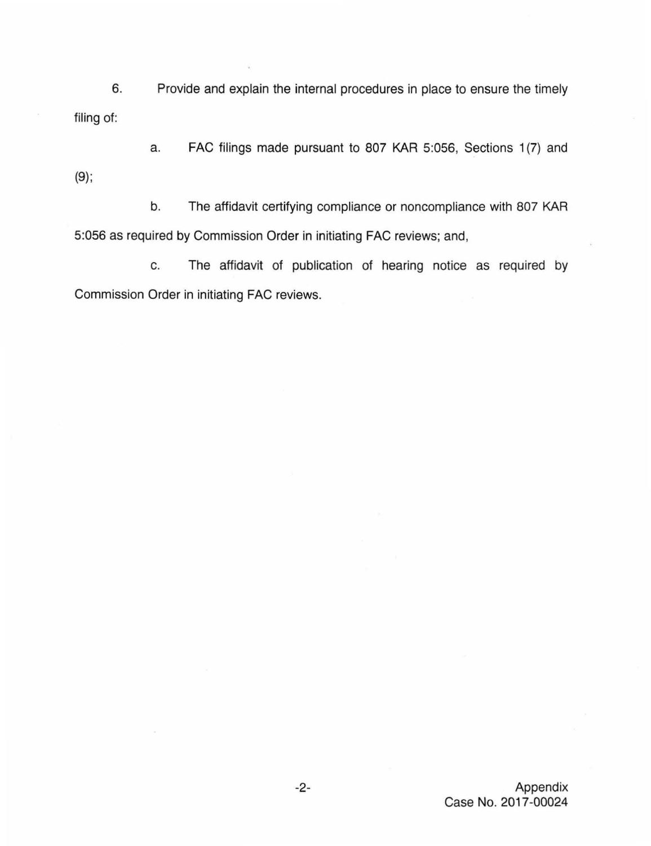6. Provide and explain the internal procedures in place to ensure the timely filing of:

a. FAC filings made pursuant to 807 KAR 5:056, Sections 1 (7) and (9);

b. The affidavit certifying compliance or noncompliance with 807 KAR 5:056 as required by Commission Order in initiating FAC reviews; and,

c. The affidavit of publication of hearing notice as required by Commission Order in initiating FAC reviews.